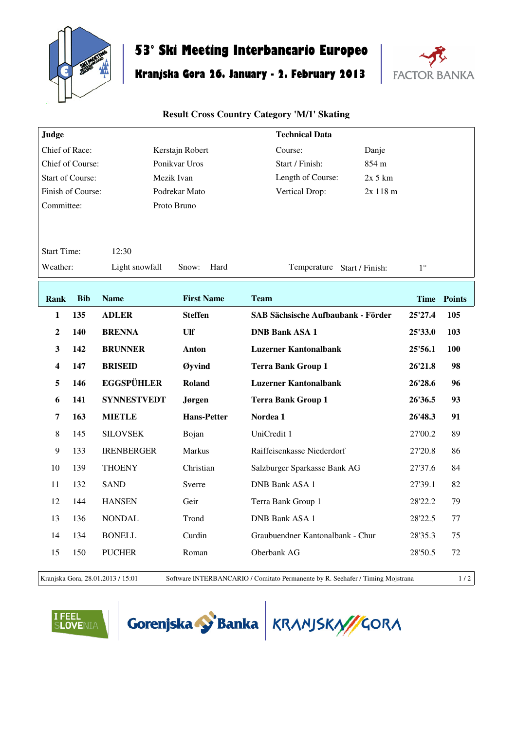

## **53° Ski Meeting Interbancario Europeo**

## **Kranjska Gora 26. January - 2. February 2013**



## **Result Cross Country Category 'M/1' Skating**

| Judge                   |            |                    |                    | <b>Technical Data</b>                     |           |             |             |
|-------------------------|------------|--------------------|--------------------|-------------------------------------------|-----------|-------------|-------------|
| Chief of Race:          |            |                    | Kerstajn Robert    | Course:                                   | Danje     |             |             |
| Chief of Course:        |            |                    | Ponikvar Uros      | Start / Finish:                           | 854 m     |             |             |
| <b>Start of Course:</b> |            |                    | Mezik Ivan         | Length of Course:                         | $2x$ 5 km |             |             |
| Finish of Course:       |            |                    | Podrekar Mato      | Vertical Drop:                            | 2x 118 m  |             |             |
| Committee:              |            |                    | Proto Bruno        |                                           |           |             |             |
|                         |            |                    |                    |                                           |           |             |             |
| <b>Start Time:</b>      |            | 12:30              |                    |                                           |           |             |             |
| Weather:                |            | Light snowfall     | Snow:<br>Hard      | Temperature Start / Finish:               |           | $1^{\circ}$ |             |
|                         |            |                    |                    |                                           |           |             |             |
| Rank                    | <b>Bib</b> | <b>Name</b>        | <b>First Name</b>  | <b>Team</b>                               |           |             | Time Points |
| 1                       | 135        | <b>ADLER</b>       | <b>Steffen</b>     | <b>SAB Sächsische Aufbaubank - Förder</b> |           | 25'27.4     | 105         |
| $\overline{2}$          | <b>140</b> | <b>BRENNA</b>      | Ulf                | <b>DNB Bank ASA 1</b>                     |           | 25'33.0     | 103         |
| 3                       | 142        | <b>BRUNNER</b>     | Anton              | <b>Luzerner Kantonalbank</b>              |           | 25'56.1     | 100         |
| $\overline{\mathbf{4}}$ | 147        | <b>BRISEID</b>     | Øyvind             | <b>Terra Bank Group 1</b>                 |           | 26'21.8     | 98          |
| 5                       | 146        | <b>EGGSPÜHLER</b>  | Roland             | <b>Luzerner Kantonalbank</b>              |           | 26'28.6     | 96          |
| 6                       | 141        | <b>SYNNESTVEDT</b> | Jørgen             | <b>Terra Bank Group 1</b>                 |           | 26'36.5     | 93          |
| 7                       | 163        | <b>MIETLE</b>      | <b>Hans-Petter</b> | Nordea 1                                  |           | 26'48.3     | 91          |
| 8                       | 145        | <b>SILOVSEK</b>    | Bojan              | UniCredit 1                               |           | 27'00.2     | 89          |
| 9                       | 133        | <b>IRENBERGER</b>  | <b>Markus</b>      | Raiffeisenkasse Niederdorf                |           | 27'20.8     | 86          |
| 10                      | 139        | <b>THOENY</b>      | Christian          | Salzburger Sparkasse Bank AG              |           | 27'37.6     | 84          |
| 11                      | 132        | <b>SAND</b>        | Sverre             | <b>DNB Bank ASA 1</b>                     |           | 27'39.1     | 82          |
| 12                      | 144        | <b>HANSEN</b>      | Geir               | Terra Bank Group 1                        |           | 28'22.2     | 79          |
| 13                      | 136        | <b>NONDAL</b>      | Trond              | <b>DNB Bank ASA 1</b>                     |           | 28'22.5     | 77          |
| 14                      | 134        | <b>BONELL</b>      | Curdin             | Graubuendner Kantonalbank - Chur          |           | 28'35.3     | 75          |
|                         |            |                    |                    |                                           |           |             |             |
| 15                      | 150        | <b>PUCHER</b>      | Roman              | Oberbank AG                               |           | 28'50.5     | 72          |

Kranjska Gora, 28.01.2013 / 15:01 Software INTERBANCARIO / Comitato Permanente by R. Seehafer / Timing Mojstrana 1 / 2